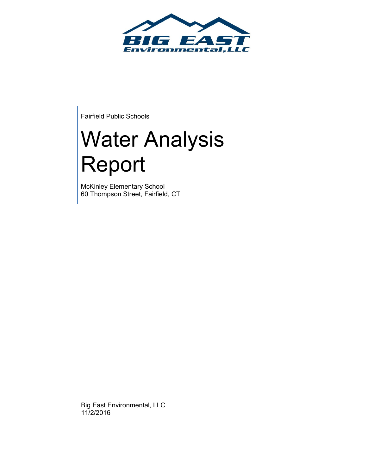

Fairfield Public Schools

# Water Analysis Report

McKinley Elementary School 60 Thompson Street, Fairfield, CT

Big East Environmental, LLC 11/2/2016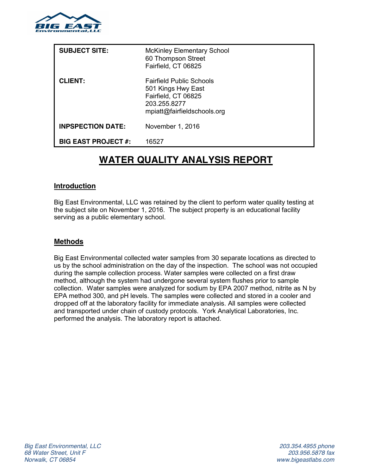

| <b>SUBJECT SITE:</b>       | <b>McKinley Elementary School</b><br>60 Thompson Street<br>Fairfield, CT 06825                                              |
|----------------------------|-----------------------------------------------------------------------------------------------------------------------------|
| <b>CLIENT:</b>             | <b>Fairfield Public Schools</b><br>501 Kings Hwy East<br>Fairfield, CT 06825<br>203.255.8277<br>mpiatt@fairfieldschools.org |
| <b>INPSPECTION DATE:</b>   | November 1, 2016                                                                                                            |
| <b>BIG EAST PROJECT #:</b> | 16527                                                                                                                       |

# **WATER QUALITY ANALYSIS REPORT**

#### **Introduction**

Big East Environmental, LLC was retained by the client to perform water quality testing at the subject site on November 1, 2016. The subject property is an educational facility serving as a public elementary school.

#### **Methods**

Big East Environmental collected water samples from 30 separate locations as directed to us by the school administration on the day of the inspection. The school was not occupied during the sample collection process. Water samples were collected on a first draw method, although the system had undergone several system flushes prior to sample collection. Water samples were analyzed for sodium by EPA 2007 method, nitrite as N by EPA method 300, and pH levels. The samples were collected and stored in a cooler and dropped off at the laboratory facility for immediate analysis. All samples were collected and transported under chain of custody protocols. York Analytical Laboratories, Inc. performed the analysis. The laboratory report is attached.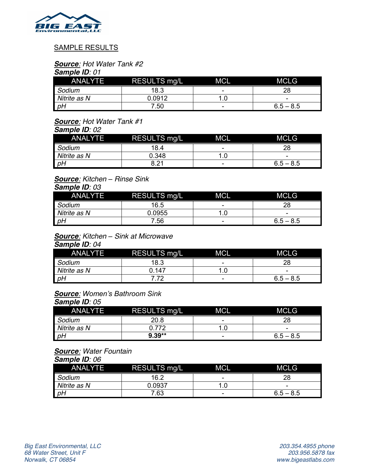

#### SAMPLE RESULTS

# *Source: Hot Water Tank #2*

#### *Sample ID: 01*

| <b>ANALYTE</b> | RESULTS mg/L | <b>MCL</b> | <b>MCLG</b> |
|----------------|--------------|------------|-------------|
| Sodium         | 18.3         | -          |             |
| Nitrite as N   | 0.0912       |            | -           |
| pH             | .50          | -          | $6.5 - 8.5$ |

# *Source: Hot Water Tank #1*

*Sample ID: 02*

| <b>ANALYTE</b> | RESULTS mg/L | <b>MCL</b> | <b>MCLG</b> |
|----------------|--------------|------------|-------------|
| Sodium         | 18.4         | -          | 28          |
| Nitrite as N   | 0.348        |            | -           |
| pH             | 8.21         | -          | $6.5 - 8.5$ |

#### *Source: Kitchen – Rinse Sink Sample ID: 03*

| <b>ANALYTE</b> | RESULTS mg/L | <b>MCL</b> | <b>MCLG</b> |
|----------------|--------------|------------|-------------|
| Sodium         | 16.5         | -          |             |
| Nitrite as N   | 0.0955       |            | -           |
| D              | 7.56         | -          | $6.5 - 8.5$ |

#### *Source: Kitchen – Sink at Microwave Sample ID: 04*

| <b>ANALYTE</b> | <b>RESULTS mg/L</b> | <b>MCL</b> | <b>MCLG</b> |
|----------------|---------------------|------------|-------------|
| Sodium         | 18.3                | -          | 28          |
| Nitrite as N   | 1.147               |            | -           |
| pH             | 72                  | -          | $6.5 - 8.5$ |

# *Source: Women's Bathroom Sink*

## *Sample ID: 05* ANALYTE RESULTS mg/L MCL MCLG *Sodium* 20.8 | 20.8 | 28 *Nitrite as N* 0.772 1.0 - 0.772 0.772 1.0 - 0.5 - 8.5 *pH* **9.39\*\*** - 6.5 – 8.5

#### *Source: Water Fountain*

#### *Sample ID: 06*

| -------        |                     |            |             |
|----------------|---------------------|------------|-------------|
| <b>ANALYTE</b> | <b>RESULTS mg/L</b> | <b>MCL</b> | <b>MCLG</b> |
| Sodium         | 16.2                | -          | 28          |
| Nitrite as N   | 0.0937              |            | -           |
| pH             | 7.63                | -          | $6.5 - 8.5$ |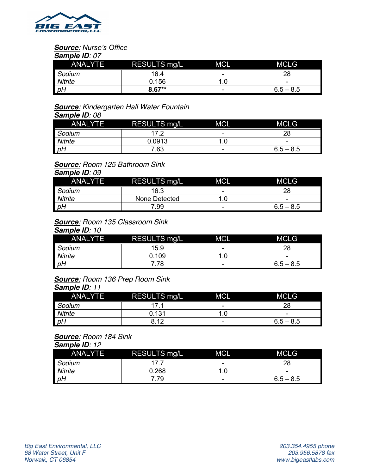

# *Source: Nurse's Office*

*Sample ID: 07*

|                | <b>ANALYTE</b> | RESULTS mg/L | <b>MCL</b> | <b>MCLG</b> |
|----------------|----------------|--------------|------------|-------------|
| Sodium         |                | 16.4         | -          | 28          |
| <b>Nitrite</b> |                | 0.156        |            | -           |
| pH             |                | $8.67**$     | -          | $6.5 - 8.5$ |

# *Source: Kindergarten Hall Water Fountain*

*Sample ID: 08*

|                | <b>ANALYTE</b> | <b>RESULTS mg/L</b> | <b>MCL</b> | <b>MCLG</b> |
|----------------|----------------|---------------------|------------|-------------|
| Sodium         |                | $17^{\circ}$        | -          |             |
| <b>Nitrite</b> |                | 0.0913              |            | -           |
| P              |                | 7.63                | -          | $6.5 - 8.5$ |

# *Source: Room 125 Bathroom Sink*

*Sample ID: 09*

| <b>ANALYTE</b> | RESULTS mg/L  | <b>MCL</b> | <b>MCLG</b> |
|----------------|---------------|------------|-------------|
| Sodium         | 16.3          | -          | 28          |
| Nitrite        | None Detected |            | -           |
| pH             | 7.99          | -          | $6.5 - 8.5$ |

#### *Source: Room 135 Classroom Sink Sample ID: 10*

| <b>ANALYTE</b> | <b>RESULTS mg/L</b> | <b>MCL</b> | <b>MCLG</b> |
|----------------|---------------------|------------|-------------|
| Sodium         | 15.9                | -          | 28          |
| Nitrite        | 0.109               |            | -           |
| pH             | 78                  | -          | $6.5 - 8.5$ |

#### *Source: Room 136 Prep Room Sink Sample ID: 11*

| <b>ANALYTE</b> | <b>RESULTS mg/L</b> | <b>MCL</b> | <b>MCLG</b> |
|----------------|---------------------|------------|-------------|
| Sodium         |                     | -          | 28          |
| <b>Nitrite</b> | 0.131               |            | -           |
| pH             | 8.12                | -          | $6.5 - 8.5$ |

#### *Source: Room 184 Sink Sample ID: 12*

| <b>ANALYTE</b> | RESULTS mg/L | <b>MCL</b>               | <b>MCLG</b> |
|----------------|--------------|--------------------------|-------------|
| Sodium         | 17           | -                        |             |
| Nitrite        | 0.268        |                          | -           |
| pH             | 79           | $\overline{\phantom{0}}$ | $6.5 - 8.5$ |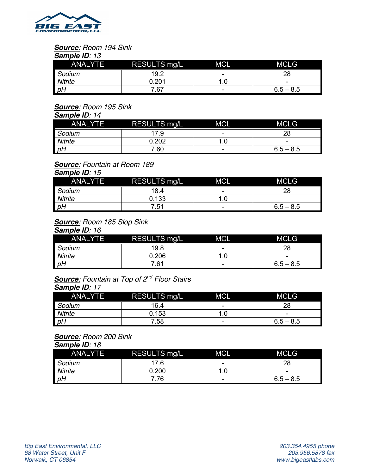

#### *Source: Room 194 Sink Sample ID: 13*

|                | <b>ANALYTE</b> | <b>RESULTS mg/L</b> | <b>MCL</b> | <b>MCLG</b> |
|----------------|----------------|---------------------|------------|-------------|
| Sodium         |                | 19.2                | -          |             |
| <b>Nitrite</b> |                | በ 2በ1               |            | -           |
| pH             |                | 7.67                | -          | $6.5 - 8.5$ |

# *Source: Room 195 Sink*

#### *Sample ID: 14*

| <b>ANALYTE</b> | RESULTS mg/L | <b>MCL</b> | <b>MCLG</b> |
|----------------|--------------|------------|-------------|
| Sodium         | 7.9          | -          | 28          |
| <b>Nitrite</b> | .202         |            | -           |
| P              | 7.60         | -          | $6.5 - 8.5$ |

## *Source: Fountain at Room 189*

## *Sample ID: 15*

| <b>ANALYTE</b> | <b>RESULTS mg/L</b> | <b>MCL</b> | <b>MCLG</b> |
|----------------|---------------------|------------|-------------|
| Sodium         | 18.4                | -          | 28          |
| Nitrite        | 0.133               |            |             |
| P              | 7.51                | -          | $6.5 - 8.5$ |

# *Source: Room 185 Slop Sink*

*Sample ID: 16*

| <b>ANALYTE</b> | <b>RESULTS mg/L</b> | <b>MCL</b> | <b>MCLG</b> |
|----------------|---------------------|------------|-------------|
| Sodium         | 19.8                | -          | 28          |
| <b>Nitrite</b> | 0.206               |            | -           |
| pH             | 7.61                | -          | $6.5 - 8.5$ |

## *Source: Fountain at Top of 2nd Floor Stairs Sample ID: 17*

| <b>ANALYTE</b> | <b>RESULTS mg/L</b> | <b>MCL</b> | <b>MCLG</b> |
|----------------|---------------------|------------|-------------|
| Sodium         | 16.4                | -          | 28          |
| <b>Nitrite</b> | 0.153               |            | -           |
| pH             | 7.58                | -          | $6.5 - 8.5$ |

#### *Source: Room 200 Sink Sample ID: 18*

| <b>ANALYTE</b> | <b>RESULTS mg/L</b> | <b>MCL</b> | <b>MCLG</b> |
|----------------|---------------------|------------|-------------|
| Sodium         | 17.6                | -          | 28          |
| Nitrite        | 0.200               |            | -           |
| pH             | .76                 | -          | $6.5 - 8.5$ |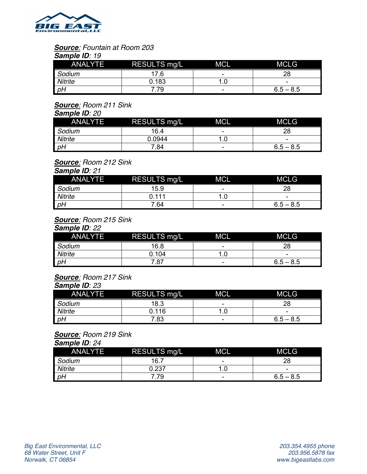

#### *Source: Fountain at Room 203 Sample ID: 19*

| <b>ANALYTE</b> | RESULTS mg/L | <b>MCL</b> | <b>MCLG</b> |  |  |  |  |
|----------------|--------------|------------|-------------|--|--|--|--|
| Sodium         | 17.6         | -          | 28          |  |  |  |  |
| Nitrite        | 0.183        |            | -           |  |  |  |  |
| pH             | 79           | -          | $6.5 - 8.5$ |  |  |  |  |

## *Source: Room 211 Sink*

| <b>Sample ID: 20</b> |              |            |             |  |  |  |
|----------------------|--------------|------------|-------------|--|--|--|
| <b>ANALYTE</b>       | RESULTS mg/L | <b>MCL</b> | <b>MCLG</b> |  |  |  |
| Sodium               | 16.4         | -          | 28          |  |  |  |
| <b>Nitrite</b>       | 0.0944       | .U         | -           |  |  |  |
| P                    | 7.84         | -          | $6.5 - 8.5$ |  |  |  |

# *Source: Room 212 Sink*

*Sample ID: 21*

| <b>ANALYTE</b> | RESULTS mg/L | <b>MCL</b> | <b>MCLG</b> |
|----------------|--------------|------------|-------------|
| Sodium         | 15.9         | -          | 28          |
| <b>Nitrite</b> | ገ 111        |            | -           |
| pH             | 7.64         | -          | $6.5 - 8.5$ |

# *Source: Room 215 Sink*

*Sample ID: 22*

| <b>ANALYTE</b> | RESULTS mg/L | <b>MCL</b> | <b>MCLG</b> |
|----------------|--------------|------------|-------------|
| Sodium         | 16.8         | -          | 28          |
| <b>Nitrite</b> | 0.104        |            | -           |
| pH             | 7.87         | -          | $6.5 - 8.5$ |

## *Source: Room 217 Sink*

#### *Sample ID: 23*

| <b>ANALYTE</b> | <b>RESULTS mg/L</b> | <b>MCL</b> | <b>MCLG</b> |
|----------------|---------------------|------------|-------------|
| Sodium         | 18.3                | -          | 28          |
| Nitrite        | 0.116               |            | -           |
| pH             | 7.83                | -          | $6.5 - 8.5$ |

## *Source: Room 219 Sink*

*Sample ID: 24*

| <b>ANALYTE</b> | <b>RESULTS mg/L</b> | <b>MCL</b> | <b>MCLG</b> |
|----------------|---------------------|------------|-------------|
| Sodium         | 16.7                | -          | 28          |
| Nitrite        | 0.237               |            | -           |
| pH             | 79                  | -          | $6.5 - 8.5$ |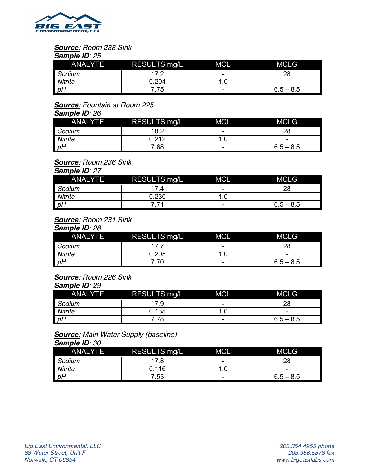

#### *Source: Room 238 Sink Sample ID: 25*

| <b>ANALYTE</b> | <b>RESULTS mg/L</b> | <b>MCL</b> | <b>MCLG</b> |
|----------------|---------------------|------------|-------------|
| Sodium         | 17 つ                | -          | 28          |
| <b>Nitrite</b> | 0.204               |            | -           |
| pH             | .75                 | -          | $6.5 - 8.5$ |

## *Source: Fountain at Room 225*

| <b>Sample ID: 26</b> |                     |            |             |
|----------------------|---------------------|------------|-------------|
| ANALYTE              | <b>RESULTS mg/L</b> | <b>MCL</b> | <b>MCLG</b> |
| Sodium               | 18.2                | -          | 28          |
| Nitrite              | 0.212               |            | -           |
| pH                   | 7.68                | -          | $6.5 - 8.5$ |

# *Source: Room 236 Sink*

*Sample ID: 27*

| <b>ANALYTE</b> | RESULTS mg/L | <b>MCL</b> | <b>MCLG</b> |
|----------------|--------------|------------|-------------|
| Sodium         | 174          | -          |             |
| Nitrite        | 0.230        |            | -           |
| pH             |              | -          | $6.5 - 8.5$ |

# *Source: Room 231 Sink*

*Sample ID: 28*

| <b>ANALYTE</b> | RESULTS mg/L | <b>MCL</b> | <b>MCLG</b> |
|----------------|--------------|------------|-------------|
| Sodium         |              | -          | 28          |
| Nitrite        | 0.205        |            | -           |
| pH             | .70          | -          | $6.5 - 8.5$ |

## *Source: Room 226 Sink*

#### *Sample ID: 29*

| <b>ANALYTE</b> | <b>RESULTS mg/L</b> | <b>MCL</b> | <b>MCLG</b> |
|----------------|---------------------|------------|-------------|
| Sodium         | 17.9                | -          | 28          |
| Nitrite        | 0.138               |            | -           |
| pH             | .78                 | -          | $6.5 - 8.5$ |

# *Source: Main Water Supply (baseline)*

*Sample ID: 30*

| <b>ANALYTE</b> | RESULTS mg/L | <b>MCL</b> | <b>MCLG</b> |
|----------------|--------------|------------|-------------|
| Sodium         | 17.8         | -          | 28          |
| Nitrite        | 0.116        |            | -           |
| pH             | 7.53         | -          | $6.5 - 8.5$ |